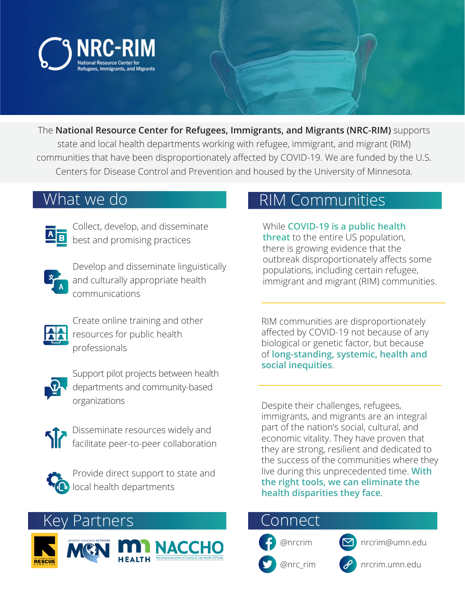

The **National Resource Center for Refugees, Immigrants, and Migrants (NRC-RIM)** supports state and local health departments working with refugee, immigrant, and migrant (RIM) communities that have been disproportionately affected by COVID-19. We are funded by the U.S. Centers for Disease Control and Prevention and housed by the University of Minnesota.

## What we do



Collect, develop, and disseminate best and promising practices



Develop and disseminate linguistically and culturally appropriate health communications



Create online training and other resources for public health professionals



Support pilot projects between health departments and community-based organizations



Disseminate resources widely and facilitate peer-to-peer collaboration



Provide direct support to state and local health departments

Key Partners





## RIM Communities

While **COVID-19 is a public health threat** to the entire US population, there is growing evidence that the outbreak disproportionately affects some populations, including certain refugee, immigrant and migrant (RIM) communities.

RIM communities are disproportionately affected by COVID-19 not because of any biological or genetic factor, but because of **long-standing, systemic, health and social inequities**.

Despite their challenges, refugees, immigrants, and migrants are an integral part of the nation's social, cultural, and economic vitality. They have proven that they are strong, resilient and dedicated to the success of the communities where they live during this unprecedented time. **With the right tools, we can eliminate the health disparities they face**.

## ionnect

@nrc\_rim





nrcrim.umn.edu